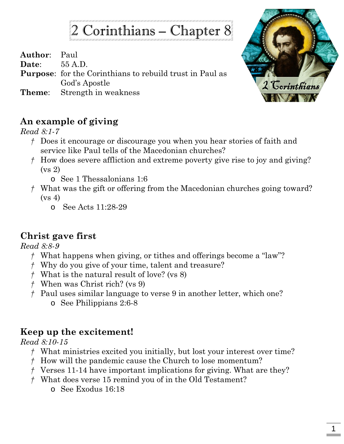# 2 Corinthians – Chapter 8

**Author**: Paul

**Date**: 55 A.D.

**Purpose**: for the Corinthians to rebuild trust in Paul as God's Apostle

**Theme**: Strength in weakness



#### **An example of giving**

*Read 8:1-7*

- *†* Does it encourage or discourage you when you hear stories of faith and service like Paul tells of the Macedonian churches?
- *†* How does severe affliction and extreme poverty give rise to joy and giving? (vs 2)
	- o See 1 Thessalonians 1:6
- *†* What was the gift or offering from the Macedonian churches going toward?  $(vs 4)$ 
	- o See Acts 11:28-29

## **Christ gave first**

*Read 8:8-9*

- *†* What happens when giving, or tithes and offerings become a "law"?
- *†* Why do you give of your time, talent and treasure?
- *†* What is the natural result of love? (vs 8)
- *†* When was Christ rich? (vs 9)
- *†* Paul uses similar language to verse 9 in another letter, which one?
	- o See Philippians 2:6-8

## **Keep up the excitement!**

*Read 8:10-15*

- *†* What ministries excited you initially, but lost your interest over time?
- *†* How will the pandemic cause the Church to lose momentum?
- *†* Verses 11-14 have important implications for giving. What are they?
- *†* What does verse 15 remind you of in the Old Testament?
	- o See Exodus 16:18